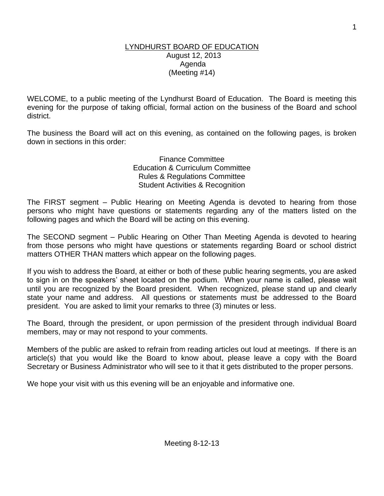#### LYNDHURST BOARD OF EDUCATION August 12, 2013 Agenda (Meeting #14)

WELCOME, to a public meeting of the Lyndhurst Board of Education. The Board is meeting this evening for the purpose of taking official, formal action on the business of the Board and school district.

The business the Board will act on this evening, as contained on the following pages, is broken down in sections in this order:

> Finance Committee Education & Curriculum Committee Rules & Regulations Committee Student Activities & Recognition

The FIRST segment – Public Hearing on Meeting Agenda is devoted to hearing from those persons who might have questions or statements regarding any of the matters listed on the following pages and which the Board will be acting on this evening.

The SECOND segment – Public Hearing on Other Than Meeting Agenda is devoted to hearing from those persons who might have questions or statements regarding Board or school district matters OTHER THAN matters which appear on the following pages.

If you wish to address the Board, at either or both of these public hearing segments, you are asked to sign in on the speakers' sheet located on the podium. When your name is called, please wait until you are recognized by the Board president. When recognized, please stand up and clearly state your name and address. All questions or statements must be addressed to the Board president. You are asked to limit your remarks to three (3) minutes or less.

The Board, through the president, or upon permission of the president through individual Board members, may or may not respond to your comments.

Members of the public are asked to refrain from reading articles out loud at meetings. If there is an article(s) that you would like the Board to know about, please leave a copy with the Board Secretary or Business Administrator who will see to it that it gets distributed to the proper persons.

We hope your visit with us this evening will be an enjoyable and informative one.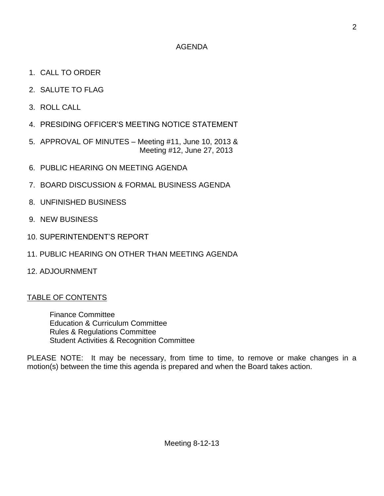### AGENDA

- 1. CALL TO ORDER
- 2. SALUTE TO FLAG
- 3. ROLL CALL
- 4. PRESIDING OFFICER'S MEETING NOTICE STATEMENT
- 5. APPROVAL OF MINUTES Meeting #11, June 10, 2013 & Meeting #12, June 27, 2013
- 6. PUBLIC HEARING ON MEETING AGENDA
- 7. BOARD DISCUSSION & FORMAL BUSINESS AGENDA
- 8. UNFINISHED BUSINESS
- 9. NEW BUSINESS
- 10. SUPERINTENDENT'S REPORT
- 11. PUBLIC HEARING ON OTHER THAN MEETING AGENDA
- 12. ADJOURNMENT

## TABLE OF CONTENTS

Finance Committee Education & Curriculum Committee Rules & Regulations Committee Student Activities & Recognition Committee

PLEASE NOTE: It may be necessary, from time to time, to remove or make changes in a motion(s) between the time this agenda is prepared and when the Board takes action.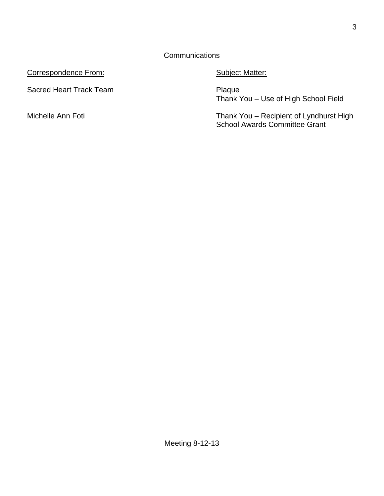Correspondence From: Subject Matter:

Sacred Heart Track Team **Plaque** 

Thank You – Use of High School Field

Michelle Ann Foti **Thank You – Recipient of Lyndhurst High** School Awards Committee Grant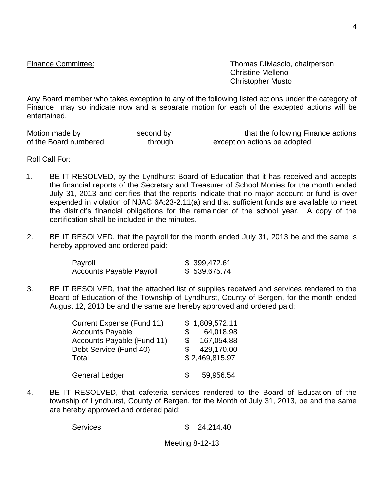Finance Committee: Thomas DiMascio, chairperson Christine Melleno Christopher Musto

Any Board member who takes exception to any of the following listed actions under the category of Finance may so indicate now and a separate motion for each of the excepted actions will be entertained.

Motion made by second by second by that the following Finance actions<br>of the Board numbered through exception actions be adopted. through exception actions be adopted.

Roll Call For:

- 1. BE IT RESOLVED, by the Lyndhurst Board of Education that it has received and accepts the financial reports of the Secretary and Treasurer of School Monies for the month ended July 31, 2013 and certifies that the reports indicate that no major account or fund is over expended in violation of NJAC 6A:23-2.11(a) and that sufficient funds are available to meet the district's financial obligations for the remainder of the school year. A copy of the certification shall be included in the minutes.
- 2. BE IT RESOLVED, that the payroll for the month ended July 31, 2013 be and the same is hereby approved and ordered paid:

| Payroll                         | \$399,472.61 |
|---------------------------------|--------------|
| <b>Accounts Payable Payroll</b> | \$539,675.74 |

3. BE IT RESOLVED, that the attached list of supplies received and services rendered to the Board of Education of the Township of Lyndhurst, County of Bergen, for the month ended August 12, 2013 be and the same are hereby approved and ordered paid:

| Current Expense (Fund 11)  | \$1,809,572.11   |
|----------------------------|------------------|
| <b>Accounts Payable</b>    | 64,018.98<br>\$  |
| Accounts Payable (Fund 11) | 167,054.88<br>\$ |
| Debt Service (Fund 40)     | 429,170.00       |
| Total                      | \$2,469,815.97   |
| <b>General Ledger</b>      | 59,956.54<br>\$. |

4. BE IT RESOLVED, that cafeteria services rendered to the Board of Education of the township of Lyndhurst, County of Bergen, for the Month of July 31, 2013, be and the same are hereby approved and ordered paid:

Services \$ 24,214.40

Meeting 8-12-13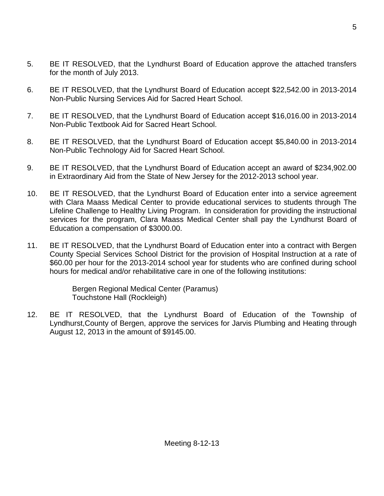- 5. BE IT RESOLVED, that the Lyndhurst Board of Education approve the attached transfers for the month of July 2013.
- 6. BE IT RESOLVED, that the Lyndhurst Board of Education accept \$22,542.00 in 2013-2014 Non-Public Nursing Services Aid for Sacred Heart School.
- 7. BE IT RESOLVED, that the Lyndhurst Board of Education accept \$16,016.00 in 2013-2014 Non-Public Textbook Aid for Sacred Heart School.
- 8. BE IT RESOLVED, that the Lyndhurst Board of Education accept \$5,840.00 in 2013-2014 Non-Public Technology Aid for Sacred Heart School.
- 9. BE IT RESOLVED, that the Lyndhurst Board of Education accept an award of \$234,902.00 in Extraordinary Aid from the State of New Jersey for the 2012-2013 school year.
- 10. BE IT RESOLVED, that the Lyndhurst Board of Education enter into a service agreement with Clara Maass Medical Center to provide educational services to students through The Lifeline Challenge to Healthy Living Program. In consideration for providing the instructional services for the program, Clara Maass Medical Center shall pay the Lyndhurst Board of Education a compensation of \$3000.00.
- 11. BE IT RESOLVED, that the Lyndhurst Board of Education enter into a contract with Bergen County Special Services School District for the provision of Hospital Instruction at a rate of \$60.00 per hour for the 2013-2014 school year for students who are confined during school hours for medical and/or rehabilitative care in one of the following institutions:

Bergen Regional Medical Center (Paramus) Touchstone Hall (Rockleigh)

12. BE IT RESOLVED, that the Lyndhurst Board of Education of the Township of Lyndhurst,County of Bergen, approve the services for Jarvis Plumbing and Heating through August 12, 2013 in the amount of \$9145.00.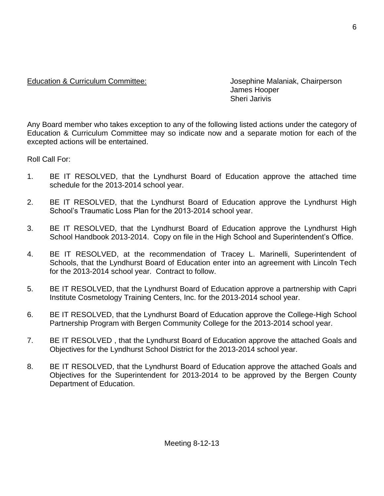### Education & Curriculum Committee: Josephine Malaniak, Chairperson

James Hooper Sheri Jarivis

Any Board member who takes exception to any of the following listed actions under the category of Education & Curriculum Committee may so indicate now and a separate motion for each of the excepted actions will be entertained.

Roll Call For:

- 1. BE IT RESOLVED, that the Lyndhurst Board of Education approve the attached time schedule for the 2013-2014 school year.
- 2. BE IT RESOLVED, that the Lyndhurst Board of Education approve the Lyndhurst High School's Traumatic Loss Plan for the 2013-2014 school year.
- 3. BE IT RESOLVED, that the Lyndhurst Board of Education approve the Lyndhurst High School Handbook 2013-2014. Copy on file in the High School and Superintendent's Office.
- 4. BE IT RESOLVED, at the recommendation of Tracey L. Marinelli, Superintendent of Schools, that the Lyndhurst Board of Education enter into an agreement with Lincoln Tech for the 2013-2014 school year. Contract to follow.
- 5. BE IT RESOLVED, that the Lyndhurst Board of Education approve a partnership with Capri Institute Cosmetology Training Centers, Inc. for the 2013-2014 school year.
- 6. BE IT RESOLVED, that the Lyndhurst Board of Education approve the College-High School Partnership Program with Bergen Community College for the 2013-2014 school year.
- 7. BE IT RESOLVED , that the Lyndhurst Board of Education approve the attached Goals and Objectives for the Lyndhurst School District for the 2013-2014 school year.
- 8. BE IT RESOLVED, that the Lyndhurst Board of Education approve the attached Goals and Objectives for the Superintendent for 2013-2014 to be approved by the Bergen County Department of Education.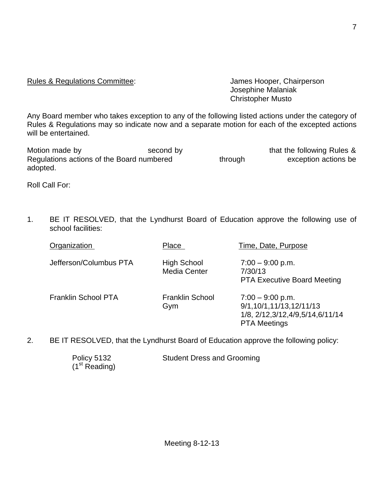# Rules & Regulations Committee: Values Alexander Schairperson

Josephine Malaniak Christopher Musto

Any Board member who takes exception to any of the following listed actions under the category of Rules & Regulations may so indicate now and a separate motion for each of the excepted actions will be entertained.

| Motion made by                            | second by |         | that the following Rules & |
|-------------------------------------------|-----------|---------|----------------------------|
| Regulations actions of the Board numbered |           | through | exception actions be       |
| adopted.                                  |           |         |                            |

Roll Call For:

1. BE IT RESOLVED, that the Lyndhurst Board of Education approve the following use of school facilities:

| Organization               | Place                                     | Time, Date, Purpose                                                                                         |
|----------------------------|-------------------------------------------|-------------------------------------------------------------------------------------------------------------|
| Jefferson/Columbus PTA     | <b>High School</b><br><b>Media Center</b> | $7:00 - 9:00$ p.m.<br>7/30/13<br><b>PTA Executive Board Meeting</b>                                         |
| <b>Franklin School PTA</b> | <b>Franklin School</b><br>Gym             | $7:00 - 9:00$ p.m.<br>9/1,10/1,11/13,12/11/13<br>1/8, 2/12, 3/12, 4/9, 5/14, 6/11/14<br><b>PTA Meetings</b> |

2. BE IT RESOLVED, that the Lyndhurst Board of Education approve the following policy:

| Policy 5132               | <b>Student Dress and Grooming</b> |
|---------------------------|-----------------------------------|
| (1 <sup>st</sup> Reading) |                                   |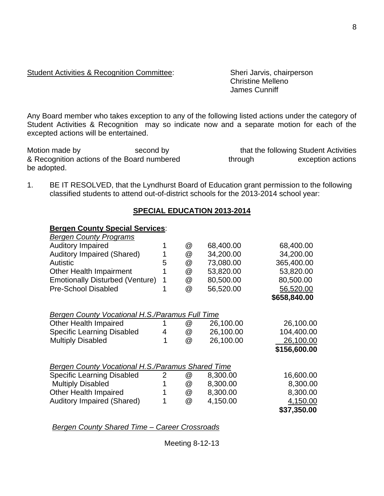Any Board member who takes exception to any of the following listed actions under the category of Student Activities & Recognition may so indicate now and a separate motion for each of the excepted actions will be entertained.

Motion made by second by second by that the following Student Activities & Recognition actions of the Board numbered through exception actions be adopted.

1. BE IT RESOLVED, that the Lyndhurst Board of Education grant permission to the following classified students to attend out-of-district schools for the 2013-2014 school year:

### **SPECIAL EDUCATION 2013-2014**

### **Bergen County Special Services**:

| <b>Bergen County Programs</b>                            |   |   |           |              |
|----------------------------------------------------------|---|---|-----------|--------------|
| <b>Auditory Impaired</b>                                 |   | @ | 68,400.00 | 68,400.00    |
| <b>Auditory Impaired (Shared)</b>                        | 1 | @ | 34,200.00 | 34,200.00    |
| <b>Autistic</b>                                          | 5 | @ | 73,080.00 | 365,400.00   |
| <b>Other Health Impairment</b>                           |   | @ | 53,820.00 | 53,820.00    |
| <b>Emotionally Disturbed (Venture)</b>                   | 1 | @ | 80,500.00 | 80,500.00    |
| <b>Pre-School Disabled</b>                               | 1 | @ | 56,520.00 | 56,520.00    |
|                                                          |   |   |           | \$658,840.00 |
| <b>Bergen County Vocational H.S./Paramus Full Time</b>   |   |   |           |              |
| <b>Other Health Impaired</b>                             |   | @ | 26,100.00 | 26,100.00    |
| <b>Specific Learning Disabled</b>                        | 4 | @ | 26,100.00 | 104,400.00   |
| <b>Multiply Disabled</b>                                 |   | @ | 26,100.00 | 26,100.00    |
|                                                          |   |   |           | \$156,600.00 |
| <b>Bergen County Vocational H.S./Paramus Shared Time</b> |   |   |           |              |
| <b>Specific Learning Disabled</b>                        | 2 | @ | 8,300.00  | 16,600.00    |
| <b>Multiply Disabled</b>                                 | 1 | @ | 8,300.00  | 8,300.00     |
| <b>Other Health Impaired</b>                             |   | @ | 8,300.00  | 8,300.00     |
| <b>Auditory Impaired (Shared)</b>                        |   | @ | 4,150.00  | 4,150.00     |
|                                                          |   |   |           | \$37,350.00  |

*Bergen County Shared Time – Career Crossroads*

Meeting 8-12-13

Christine Melleno James Cunniff

## Student Activities & Recognition Committee: Sheri Jarvis, chairperson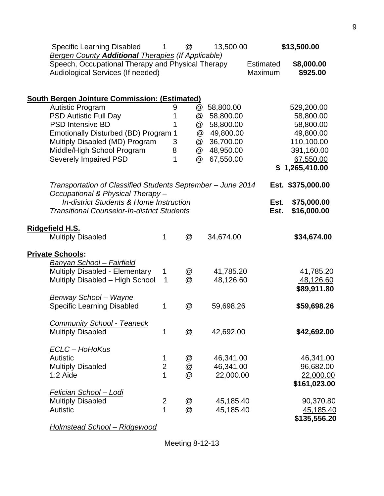| <b>Bergen County Additional Therapies (If Applicable)</b><br>Speech, Occupational Therapy and Physical Therapy<br>\$8,000.00<br><b>Estimated</b><br>Audiological Services (If needed)<br>Maximum<br>\$925.00<br><b>South Bergen Jointure Commission: (Estimated)</b><br><b>Autistic Program</b><br>58,800.00<br>529,200.00<br>9<br>$^{\textregistered}$<br><b>PSD Autistic Full Day</b><br>58,800.00<br>1<br>58,800.00<br>@<br>58,800.00<br><b>PSD Intensive BD</b><br>58,800.00<br>@<br>1<br>Emotionally Disturbed (BD) Program 1<br>@<br>49,800.00<br>49,800.00<br>Multiply Disabled (MD) Program<br>36,700.00<br>110,100.00<br>3<br>@<br>Middle/High School Program<br>48,950.00<br>391,160.00<br>8<br>@<br>1<br><b>Severely Impaired PSD</b><br>@<br>67,550.00<br>67,550.00<br>\$1,265,410.00<br>Transportation of Classified Students September - June 2014<br>Est. \$375,000.00<br>Occupational & Physical Therapy-<br><b>In-district Students &amp; Home Instruction</b><br>\$75,000.00<br>Est.<br>\$16,000.00<br><b>Transitional Counselor-In-district Students</b><br>Est.<br><u>Ridgefield H.S.</u><br><b>Multiply Disabled</b><br>1<br>@<br>34,674.00<br>\$34,674.00<br><b>Private Schools:</b><br><b>Banyan School - Fairfield</b><br><b>Multiply Disabled - Elementary</b><br>41,785.20<br>41,785.20<br>1<br>@<br>Multiply Disabled - High School<br>@<br>48,126.60<br>48,126.60<br>1<br>\$89,911.80<br><b>Benway School - Wayne</b><br><b>Specific Learning Disabled</b><br>\$59,698.26<br>@<br>59,698.26<br>1<br><b>Community School - Teaneck</b><br>@<br><b>Multiply Disabled</b><br>\$42,692.00<br>1<br>42,692.00<br><b>ECLC - HoHoKus</b><br><b>Autistic</b><br>46,341.00<br>@<br>46,341.00<br>1<br>$\overline{2}$<br><b>Multiply Disabled</b><br>@<br>46,341.00<br>96,682.00<br>1<br>@<br>22,000.00<br>22,000.00<br>1:2 Aide<br>\$161,023.00<br>Felician School - Lodi<br><b>Multiply Disabled</b><br>90,370.80<br>$\overline{2}$<br>@<br>45,185.40<br>1<br>@<br>Autistic<br>45,185.40<br><u>45,185.40</u> | Specific Learning Disabled | 1 | @ | 13,500.00 | \$13,500.00  |
|--------------------------------------------------------------------------------------------------------------------------------------------------------------------------------------------------------------------------------------------------------------------------------------------------------------------------------------------------------------------------------------------------------------------------------------------------------------------------------------------------------------------------------------------------------------------------------------------------------------------------------------------------------------------------------------------------------------------------------------------------------------------------------------------------------------------------------------------------------------------------------------------------------------------------------------------------------------------------------------------------------------------------------------------------------------------------------------------------------------------------------------------------------------------------------------------------------------------------------------------------------------------------------------------------------------------------------------------------------------------------------------------------------------------------------------------------------------------------------------------------------------------------------------------------------------------------------------------------------------------------------------------------------------------------------------------------------------------------------------------------------------------------------------------------------------------------------------------------------------------------------------------------------------------------------------------------------------------------------------------------------------------------------|----------------------------|---|---|-----------|--------------|
|                                                                                                                                                                                                                                                                                                                                                                                                                                                                                                                                                                                                                                                                                                                                                                                                                                                                                                                                                                                                                                                                                                                                                                                                                                                                                                                                                                                                                                                                                                                                                                                                                                                                                                                                                                                                                                                                                                                                                                                                                                |                            |   |   |           |              |
|                                                                                                                                                                                                                                                                                                                                                                                                                                                                                                                                                                                                                                                                                                                                                                                                                                                                                                                                                                                                                                                                                                                                                                                                                                                                                                                                                                                                                                                                                                                                                                                                                                                                                                                                                                                                                                                                                                                                                                                                                                |                            |   |   |           |              |
|                                                                                                                                                                                                                                                                                                                                                                                                                                                                                                                                                                                                                                                                                                                                                                                                                                                                                                                                                                                                                                                                                                                                                                                                                                                                                                                                                                                                                                                                                                                                                                                                                                                                                                                                                                                                                                                                                                                                                                                                                                |                            |   |   |           |              |
|                                                                                                                                                                                                                                                                                                                                                                                                                                                                                                                                                                                                                                                                                                                                                                                                                                                                                                                                                                                                                                                                                                                                                                                                                                                                                                                                                                                                                                                                                                                                                                                                                                                                                                                                                                                                                                                                                                                                                                                                                                |                            |   |   |           |              |
|                                                                                                                                                                                                                                                                                                                                                                                                                                                                                                                                                                                                                                                                                                                                                                                                                                                                                                                                                                                                                                                                                                                                                                                                                                                                                                                                                                                                                                                                                                                                                                                                                                                                                                                                                                                                                                                                                                                                                                                                                                |                            |   |   |           |              |
|                                                                                                                                                                                                                                                                                                                                                                                                                                                                                                                                                                                                                                                                                                                                                                                                                                                                                                                                                                                                                                                                                                                                                                                                                                                                                                                                                                                                                                                                                                                                                                                                                                                                                                                                                                                                                                                                                                                                                                                                                                |                            |   |   |           |              |
|                                                                                                                                                                                                                                                                                                                                                                                                                                                                                                                                                                                                                                                                                                                                                                                                                                                                                                                                                                                                                                                                                                                                                                                                                                                                                                                                                                                                                                                                                                                                                                                                                                                                                                                                                                                                                                                                                                                                                                                                                                |                            |   |   |           |              |
|                                                                                                                                                                                                                                                                                                                                                                                                                                                                                                                                                                                                                                                                                                                                                                                                                                                                                                                                                                                                                                                                                                                                                                                                                                                                                                                                                                                                                                                                                                                                                                                                                                                                                                                                                                                                                                                                                                                                                                                                                                |                            |   |   |           |              |
|                                                                                                                                                                                                                                                                                                                                                                                                                                                                                                                                                                                                                                                                                                                                                                                                                                                                                                                                                                                                                                                                                                                                                                                                                                                                                                                                                                                                                                                                                                                                                                                                                                                                                                                                                                                                                                                                                                                                                                                                                                |                            |   |   |           |              |
|                                                                                                                                                                                                                                                                                                                                                                                                                                                                                                                                                                                                                                                                                                                                                                                                                                                                                                                                                                                                                                                                                                                                                                                                                                                                                                                                                                                                                                                                                                                                                                                                                                                                                                                                                                                                                                                                                                                                                                                                                                |                            |   |   |           |              |
|                                                                                                                                                                                                                                                                                                                                                                                                                                                                                                                                                                                                                                                                                                                                                                                                                                                                                                                                                                                                                                                                                                                                                                                                                                                                                                                                                                                                                                                                                                                                                                                                                                                                                                                                                                                                                                                                                                                                                                                                                                |                            |   |   |           |              |
|                                                                                                                                                                                                                                                                                                                                                                                                                                                                                                                                                                                                                                                                                                                                                                                                                                                                                                                                                                                                                                                                                                                                                                                                                                                                                                                                                                                                                                                                                                                                                                                                                                                                                                                                                                                                                                                                                                                                                                                                                                |                            |   |   |           |              |
|                                                                                                                                                                                                                                                                                                                                                                                                                                                                                                                                                                                                                                                                                                                                                                                                                                                                                                                                                                                                                                                                                                                                                                                                                                                                                                                                                                                                                                                                                                                                                                                                                                                                                                                                                                                                                                                                                                                                                                                                                                |                            |   |   |           |              |
|                                                                                                                                                                                                                                                                                                                                                                                                                                                                                                                                                                                                                                                                                                                                                                                                                                                                                                                                                                                                                                                                                                                                                                                                                                                                                                                                                                                                                                                                                                                                                                                                                                                                                                                                                                                                                                                                                                                                                                                                                                |                            |   |   |           |              |
|                                                                                                                                                                                                                                                                                                                                                                                                                                                                                                                                                                                                                                                                                                                                                                                                                                                                                                                                                                                                                                                                                                                                                                                                                                                                                                                                                                                                                                                                                                                                                                                                                                                                                                                                                                                                                                                                                                                                                                                                                                |                            |   |   |           |              |
|                                                                                                                                                                                                                                                                                                                                                                                                                                                                                                                                                                                                                                                                                                                                                                                                                                                                                                                                                                                                                                                                                                                                                                                                                                                                                                                                                                                                                                                                                                                                                                                                                                                                                                                                                                                                                                                                                                                                                                                                                                |                            |   |   |           |              |
|                                                                                                                                                                                                                                                                                                                                                                                                                                                                                                                                                                                                                                                                                                                                                                                                                                                                                                                                                                                                                                                                                                                                                                                                                                                                                                                                                                                                                                                                                                                                                                                                                                                                                                                                                                                                                                                                                                                                                                                                                                |                            |   |   |           |              |
|                                                                                                                                                                                                                                                                                                                                                                                                                                                                                                                                                                                                                                                                                                                                                                                                                                                                                                                                                                                                                                                                                                                                                                                                                                                                                                                                                                                                                                                                                                                                                                                                                                                                                                                                                                                                                                                                                                                                                                                                                                |                            |   |   |           |              |
|                                                                                                                                                                                                                                                                                                                                                                                                                                                                                                                                                                                                                                                                                                                                                                                                                                                                                                                                                                                                                                                                                                                                                                                                                                                                                                                                                                                                                                                                                                                                                                                                                                                                                                                                                                                                                                                                                                                                                                                                                                |                            |   |   |           |              |
|                                                                                                                                                                                                                                                                                                                                                                                                                                                                                                                                                                                                                                                                                                                                                                                                                                                                                                                                                                                                                                                                                                                                                                                                                                                                                                                                                                                                                                                                                                                                                                                                                                                                                                                                                                                                                                                                                                                                                                                                                                |                            |   |   |           |              |
|                                                                                                                                                                                                                                                                                                                                                                                                                                                                                                                                                                                                                                                                                                                                                                                                                                                                                                                                                                                                                                                                                                                                                                                                                                                                                                                                                                                                                                                                                                                                                                                                                                                                                                                                                                                                                                                                                                                                                                                                                                |                            |   |   |           |              |
|                                                                                                                                                                                                                                                                                                                                                                                                                                                                                                                                                                                                                                                                                                                                                                                                                                                                                                                                                                                                                                                                                                                                                                                                                                                                                                                                                                                                                                                                                                                                                                                                                                                                                                                                                                                                                                                                                                                                                                                                                                |                            |   |   |           |              |
|                                                                                                                                                                                                                                                                                                                                                                                                                                                                                                                                                                                                                                                                                                                                                                                                                                                                                                                                                                                                                                                                                                                                                                                                                                                                                                                                                                                                                                                                                                                                                                                                                                                                                                                                                                                                                                                                                                                                                                                                                                |                            |   |   |           |              |
|                                                                                                                                                                                                                                                                                                                                                                                                                                                                                                                                                                                                                                                                                                                                                                                                                                                                                                                                                                                                                                                                                                                                                                                                                                                                                                                                                                                                                                                                                                                                                                                                                                                                                                                                                                                                                                                                                                                                                                                                                                |                            |   |   |           |              |
|                                                                                                                                                                                                                                                                                                                                                                                                                                                                                                                                                                                                                                                                                                                                                                                                                                                                                                                                                                                                                                                                                                                                                                                                                                                                                                                                                                                                                                                                                                                                                                                                                                                                                                                                                                                                                                                                                                                                                                                                                                |                            |   |   |           |              |
|                                                                                                                                                                                                                                                                                                                                                                                                                                                                                                                                                                                                                                                                                                                                                                                                                                                                                                                                                                                                                                                                                                                                                                                                                                                                                                                                                                                                                                                                                                                                                                                                                                                                                                                                                                                                                                                                                                                                                                                                                                |                            |   |   |           |              |
|                                                                                                                                                                                                                                                                                                                                                                                                                                                                                                                                                                                                                                                                                                                                                                                                                                                                                                                                                                                                                                                                                                                                                                                                                                                                                                                                                                                                                                                                                                                                                                                                                                                                                                                                                                                                                                                                                                                                                                                                                                |                            |   |   |           |              |
|                                                                                                                                                                                                                                                                                                                                                                                                                                                                                                                                                                                                                                                                                                                                                                                                                                                                                                                                                                                                                                                                                                                                                                                                                                                                                                                                                                                                                                                                                                                                                                                                                                                                                                                                                                                                                                                                                                                                                                                                                                |                            |   |   |           |              |
|                                                                                                                                                                                                                                                                                                                                                                                                                                                                                                                                                                                                                                                                                                                                                                                                                                                                                                                                                                                                                                                                                                                                                                                                                                                                                                                                                                                                                                                                                                                                                                                                                                                                                                                                                                                                                                                                                                                                                                                                                                |                            |   |   |           |              |
|                                                                                                                                                                                                                                                                                                                                                                                                                                                                                                                                                                                                                                                                                                                                                                                                                                                                                                                                                                                                                                                                                                                                                                                                                                                                                                                                                                                                                                                                                                                                                                                                                                                                                                                                                                                                                                                                                                                                                                                                                                |                            |   |   |           | \$135,556.20 |

*Holmstead School – Ridgewood*

9